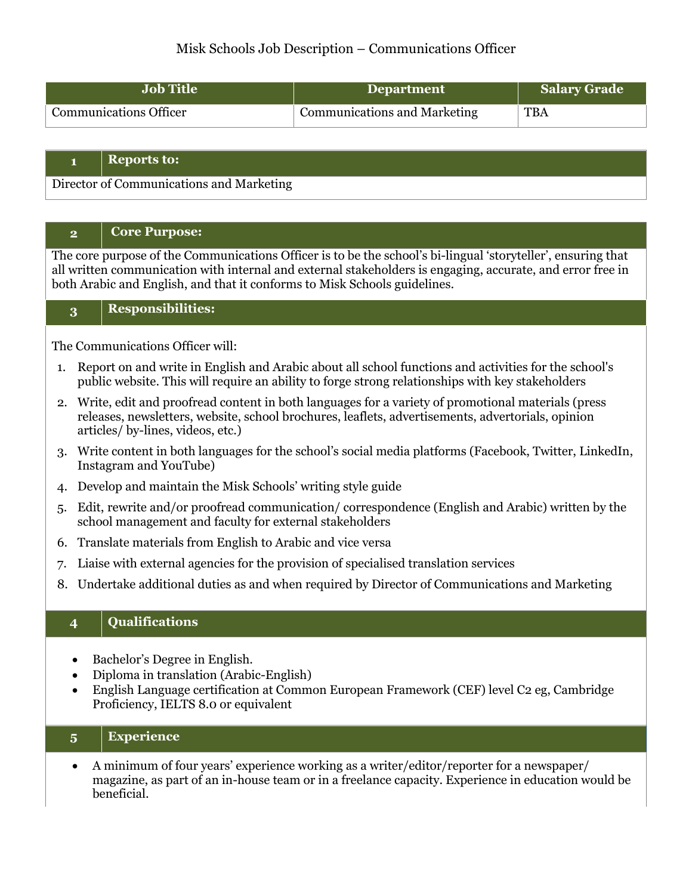# Misk Schools Job Description – Communications Officer

| <b>Job Title</b>              | Department                          | Salary Grade |
|-------------------------------|-------------------------------------|--------------|
| <b>Communications Officer</b> | <b>Communications and Marketing</b> | <b>TBA</b>   |

#### **1 Reports to:**

Director of Communications and Marketing

#### **2 Core Purpose:**

The core purpose of the Communications Officer is to be the school's bi-lingual 'storyteller', ensuring that all written communication with internal and external stakeholders is engaging, accurate, and error free in both Arabic and English, and that it conforms to Misk Schools guidelines.

### **3 Responsibilities:**

The Communications Officer will:

- 1. Report on and write in English and Arabic about all school functions and activities for the school's public website. This will require an ability to forge strong relationships with key stakeholders
- 2. Write, edit and proofread content in both languages for a variety of promotional materials (press releases, newsletters, website, school brochures, leaflets, advertisements, advertorials, opinion articles/ by-lines, videos, etc.)
- 3. Write content in both languages for the school's social media platforms (Facebook, Twitter, LinkedIn, Instagram and YouTube)
- 4. Develop and maintain the Misk Schools' writing style guide
- 5. Edit, rewrite and/or proofread communication/ correspondence (English and Arabic) written by the school management and faculty for external stakeholders
- 6. Translate materials from English to Arabic and vice versa
- 7. Liaise with external agencies for the provision of specialised translation services
- 8. Undertake additional duties as and when required by Director of Communications and Marketing

### **4 Qualifications**

- Bachelor's Degree in English.
- Diploma in translation (Arabic-English)
- English Language certification at Common European Framework (CEF) level C2 eg, Cambridge Proficiency, IELTS 8.0 or equivalent

# **5 Experience**

• A minimum of four years' experience working as a writer/editor/reporter for a newspaper/ magazine, as part of an in-house team or in a freelance capacity. Experience in education would be beneficial.